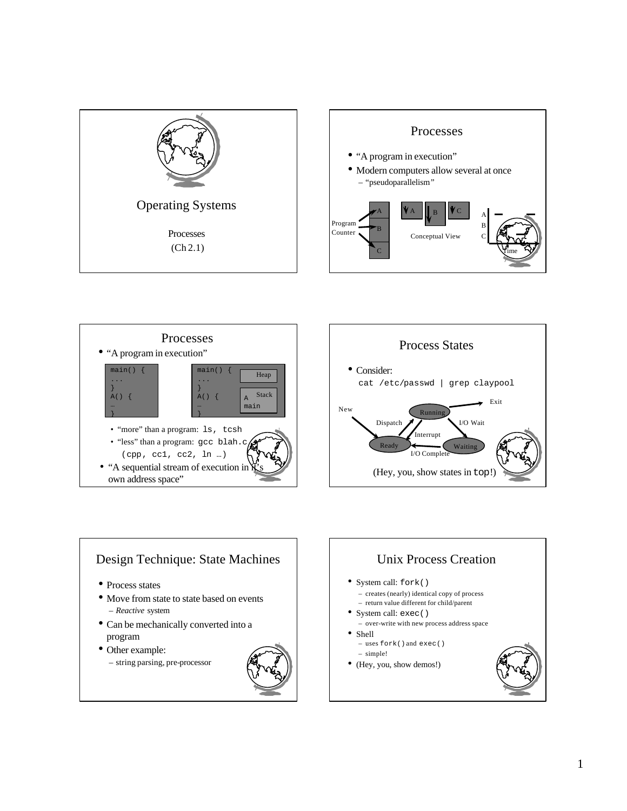









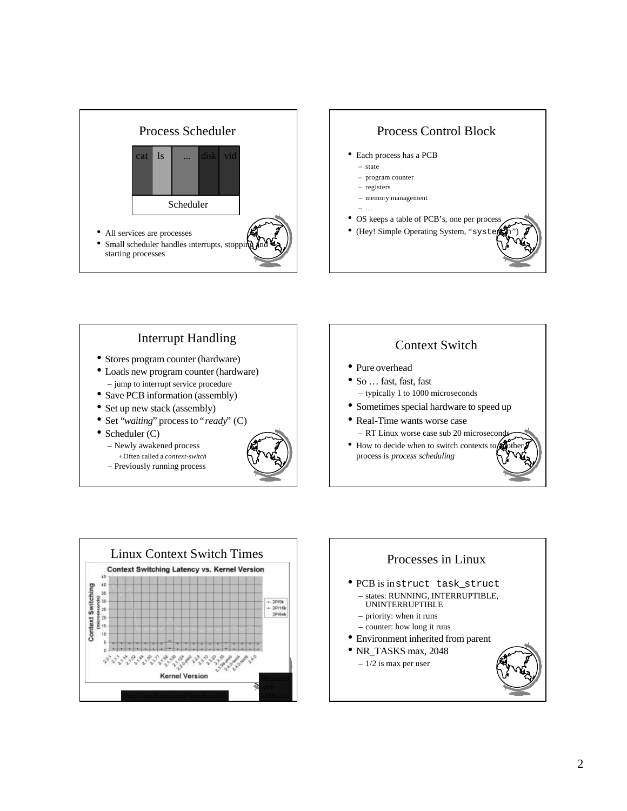







• Scheduler (C)